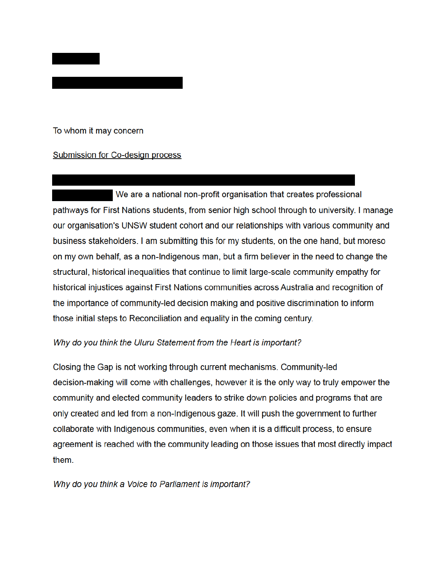

## **Submission for Co-design process**

We are a national non-profit organisation that creates professional pathways for First Nations students, from senior high school through to university. I manage our organisation's UNSW student cohort and our relationships with various community and business stakeholders. I am submitting this for my students, on the one hand, but moreso on my own behalf, as a non-Indigenous man, but a firm believer in the need to change the structural, historical inequalities that continue to limit large-scale community empathy for historical injustices against First Nations communities across Australia and recognition of the importance of community-led decision making and positive discrimination to inform those initial steps to Reconciliation and equality in the coming century.

## Why do you think the Uluru Statement from the Heart is important?

Closing the Gap is not working through current mechanisms. Community-led decision-making will come with challenges, however it is the only way to truly empower the community and elected community leaders to strike down policies and programs that are only created and led from a non-Indigenous gaze. It will push the government to further collaborate with Indigenous communities, even when it is a difficult process, to ensure agreement is reached with the community leading on those issues that most directly impact them.

Why do you think a Voice to Parliament is important?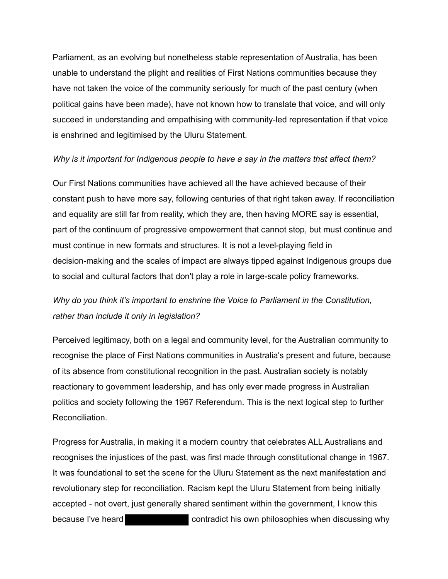Parliament, as an evolving but nonetheless stable representation of Australia, has been unable to understand the plight and realities of First Nations communities because they have not taken the voice of the community seriously for much of the past century (when political gains have been made), have not known how to translate that voice, and will only succeed in understanding and empathising with community-led representation if that voice is enshrined and legitimised by the Uluru Statement.

## *Why is it important for Indigenous people to have a say in the matters that affect them?*

 Our First Nations communities have achieved all the have achieved because of their constant push to have more say, following centuries of that right taken away. If reconciliation and equality are still far from reality, which they are, then having MORE say is essential, part of the continuum of progressive empowerment that cannot stop, but must continue and must continue in new formats and structures. It is not a level-playing field in decision-making and the scales of impact are always tipped against Indigenous groups due to social and cultural factors that don't play a role in large-scale policy frameworks.

## *Why do you think it's important to enshrine the Voice to Parliament in the Constitution, rather than include it only in legislation?*

 Perceived legitimacy, both on a legal and community level, for the Australian community to recognise the place of First Nations communities in Australia's present and future, because of its absence from constitutional recognition in the past. Australian society is notably reactionary to government leadership, and has only ever made progress in Australian politics and society following the 1967 Referendum. This is the next logical step to further Reconciliation.

 Progress for Australia, in making it a modern country that celebrates ALL Australians and recognises the injustices of the past, was first made through constitutional change in 1967. It was foundational to set the scene for the Uluru Statement as the next manifestation and revolutionary step for reconciliation. Racism kept the Uluru Statement from being initially accepted - not overt, just generally shared sentiment within the government, I know this because I've heard contradict his own philosophies when discussing why